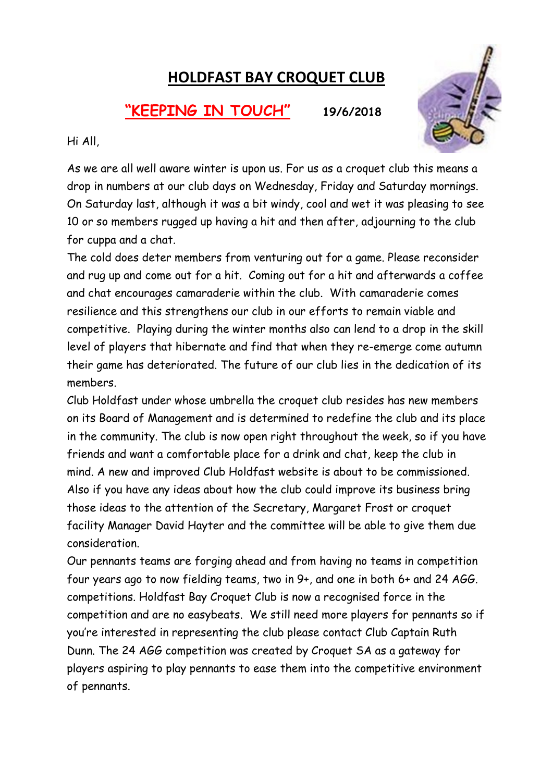# HOLDFAST BAY CROQUET CLUB

## "KEEPING IN TOUCH" 19/6/2018



Hi All,

As we are all well aware winter is upon us. For us as a croquet club this means a drop in numbers at our club days on Wednesday, Friday and Saturday mornings. On Saturday last, although it was a bit windy, cool and wet it was pleasing to see 10 or so members rugged up having a hit and then after, adjourning to the club for cuppa and a chat.

The cold does deter members from venturing out for a game. Please reconsider and rug up and come out for a hit. Coming out for a hit and afterwards a coffee and chat encourages camaraderie within the club. With camaraderie comes resilience and this strengthens our club in our efforts to remain viable and competitive. Playing during the winter months also can lend to a drop in the skill level of players that hibernate and find that when they re-emerge come autumn their game has deteriorated. The future of our club lies in the dedication of its members.

Club Holdfast under whose umbrella the croquet club resides has new members on its Board of Management and is determined to redefine the club and its place in the community. The club is now open right throughout the week, so if you have friends and want a comfortable place for a drink and chat, keep the club in mind. A new and improved Club Holdfast website is about to be commissioned. Also if you have any ideas about how the club could improve its business bring those ideas to the attention of the Secretary, Margaret Frost or croquet facility Manager David Hayter and the committee will be able to give them due consideration.

Our pennants teams are forging ahead and from having no teams in competition four years ago to now fielding teams, two in 9+, and one in both 6+ and 24 AGG. competitions. Holdfast Bay Croquet Club is now a recognised force in the competition and are no easybeats. We still need more players for pennants so if you're interested in representing the club please contact Club Captain Ruth Dunn. The 24 AGG competition was created by Croquet SA as a gateway for players aspiring to play pennants to ease them into the competitive environment of pennants.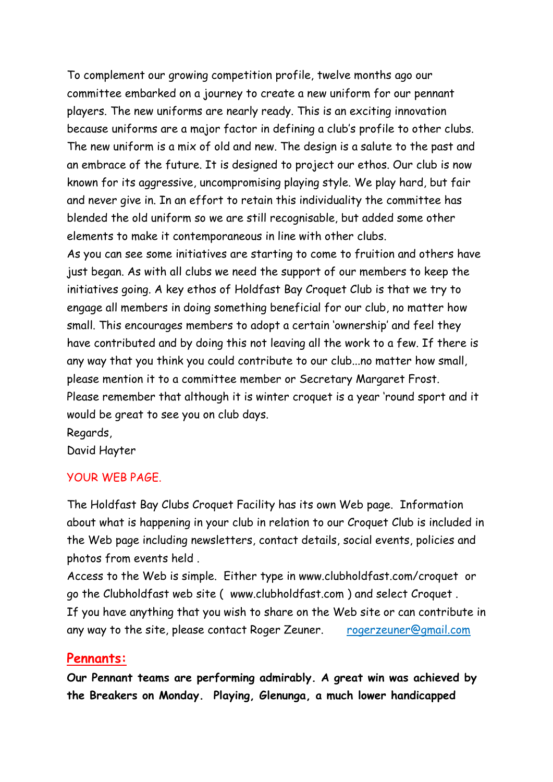To complement our growing competition profile, twelve months ago our committee embarked on a journey to create a new uniform for our pennant players. The new uniforms are nearly ready. This is an exciting innovation because uniforms are a major factor in defining a club's profile to other clubs. The new uniform is a mix of old and new. The design is a salute to the past and an embrace of the future. It is designed to project our ethos. Our club is now known for its aggressive, uncompromising playing style. We play hard, but fair and never give in. In an effort to retain this individuality the committee has blended the old uniform so we are still recognisable, but added some other elements to make it contemporaneous in line with other clubs.

As you can see some initiatives are starting to come to fruition and others have just began. As with all clubs we need the support of our members to keep the initiatives going. A key ethos of Holdfast Bay Croquet Club is that we try to engage all members in doing something beneficial for our club, no matter how small. This encourages members to adopt a certain 'ownership' and feel they have contributed and by doing this not leaving all the work to a few. If there is any way that you think you could contribute to our club...no matter how small, please mention it to a committee member or Secretary Margaret Frost. Please remember that although it is winter croquet is a year 'round sport and it would be great to see you on club days.

Regards,

David Hayter

#### YOUR WEB PAGE.

The Holdfast Bay Clubs Croquet Facility has its own Web page. Information about what is happening in your club in relation to our Croquet Club is included in the Web page including newsletters, contact details, social events, policies and photos from events held .

Access to the Web is simple. Either type in www.clubholdfast.com/croquet or go the Clubholdfast web site ( www.clubholdfast.com ) and select Croquet . If you have anything that you wish to share on the Web site or can contribute in any way to the site, please contact Roger Zeuner. rogerzeuner@gmail.com

#### Pennants:

Our Pennant teams are performing admirably. A great win was achieved by the Breakers on Monday. Playing, Glenunga, a much lower handicapped